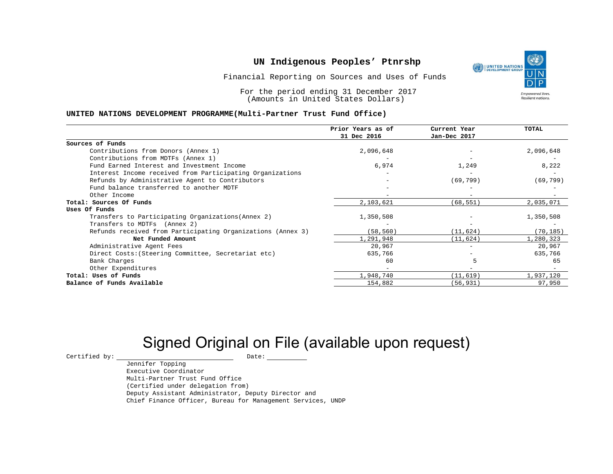Financial Reporting on Sources and Uses of Funds

For the period ending 31 December 2017 (Amounts in United States Dollars)

#### **UNITED NATIONS DEVELOPMENT PROGRAMME(Multi-Partner Trust Fund Office)**

|                                                             | Prior Years as of<br>31 Dec 2016 | Current Year<br>Jan-Dec 2017 | <b>TOTAL</b> |
|-------------------------------------------------------------|----------------------------------|------------------------------|--------------|
|                                                             |                                  |                              |              |
| Sources of Funds                                            |                                  |                              |              |
| Contributions from Donors (Annex 1)                         | 2,096,648                        |                              | 2,096,648    |
| Contributions from MDTFs (Annex 1)                          |                                  |                              |              |
| Fund Earned Interest and Investment Income                  | 6,974                            | 1,249                        | 8,222        |
| Interest Income received from Participating Organizations   |                                  |                              |              |
| Refunds by Administrative Agent to Contributors             |                                  | (69, 799)                    | (69, 799)    |
| Fund balance transferred to another MDTF                    |                                  |                              |              |
| Other Income                                                |                                  | $\overline{\phantom{0}}$     |              |
| Total: Sources Of Funds                                     | 2,103,621                        | (68, 551)                    | 2,035,071    |
| Uses Of Funds                                               |                                  |                              |              |
| Transfers to Participating Organizations (Annex 2)          | 1,350,508                        |                              | 1,350,508    |
| Transfers to MDTFs (Annex 2)                                |                                  |                              |              |
| Refunds received from Participating Organizations (Annex 3) | (58, 560)                        | (11, 624)                    | (70, 185)    |
| Net Funded Amount                                           | 1,291,948                        | (11, 624)                    | 1,280,323    |
| Administrative Agent Fees                                   | 20,967                           | $-$                          | 20,967       |
| Direct Costs: (Steering Committee, Secretariat etc)         | 635,766                          |                              | 635,766      |
| Bank Charges                                                | 60                               |                              | 65           |
| Other Expenditures                                          |                                  |                              |              |
| Total: Uses of Funds                                        | 1,948,740                        | (11, 619)                    | 1,937,120    |
| Balance of Funds Available                                  | 154,882                          | (56, 931)                    | 97,950       |

# Signed Original on File (available upon request)

 $\begin{array}{cccc}\n\text{Certified by:}\quad\text{---}\quad\text{---}\quad\text{---}\quad\text{Date:}\quad\text{---}\quad\text{---}\quad\text{---}\quad\text{---}\quad\text{---}\quad\text{---}\quad\text{---}\quad\text{---}\quad\text{---}\quad\text{---}\quad\text{---}\quad\text{---}\quad\text{---}\quad\text{---}\quad\text{---}\quad\text{---}\quad\text{---}\quad\text{---}\quad\text{---}\quad\text{---}\quad\text{---}\quad\text{---}\quad\text{---}\quad\text{---}\quad\text{---}\quad\text{---}\quad\text{---}\quad\text{---}\quad\text{---}\quad\text{---$ 

Jennifer Topping Executive Coordinator Multi-Partner Trust Fund Office (Certified under delegation from) Deputy Assistant Administrator, Deputy Director and Chief Finance Officer, Bureau for Management Services, UNDP

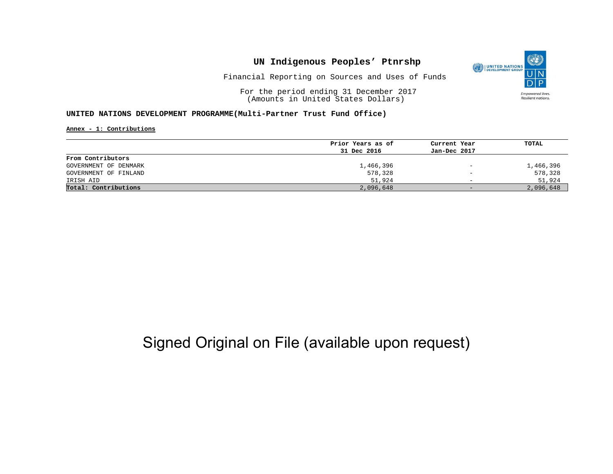

Financial Reporting on Sources and Uses of Funds

For the period ending 31 December 2017 (Amounts in United States Dollars)

#### **UNITED NATIONS DEVELOPMENT PROGRAMME(Multi-Partner Trust Fund Office)**

**Annex - 1: Contributions**

|                       | Prior Years as of | Current Year             | TOTAL     |
|-----------------------|-------------------|--------------------------|-----------|
|                       | 31 Dec 2016       | Jan-Dec 2017             |           |
| From Contributors     |                   |                          |           |
| GOVERNMENT OF DENMARK | 1,466,396         | $\overline{\phantom{m}}$ | 1,466,396 |
| GOVERNMENT OF FINLAND | 578,328           | $\qquad \qquad -$        | 578,328   |
| IRISH AID             | 51,924            | $\overline{\phantom{0}}$ | 51,924    |
| Total: Contributions  | 2,096,648         | $-$                      | 2,096,648 |

## Signed Original on File (available upon request)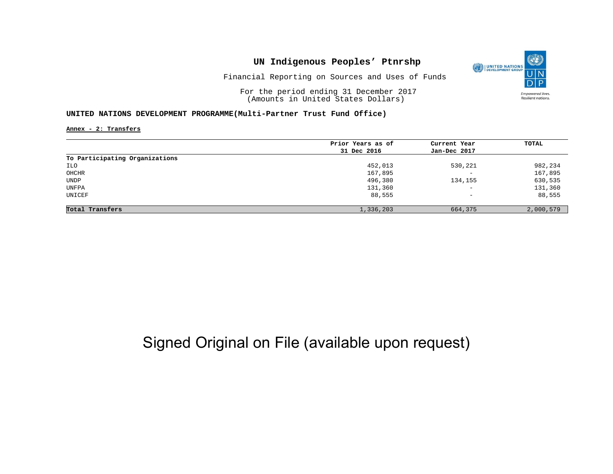

Financial Reporting on Sources and Uses of Funds

For the period ending 31 December 2017 (Amounts in United States Dollars)

#### **UNITED NATIONS DEVELOPMENT PROGRAMME(Multi-Partner Trust Fund Office)**

**Annex - 2: Transfers**

|                                | Prior Years as of | Current Year             | TOTAL     |
|--------------------------------|-------------------|--------------------------|-----------|
|                                | 31 Dec 2016       | Jan-Dec 2017             |           |
| To Participating Organizations |                   |                          |           |
| ILO                            | 452,013           | 530,221                  | 982,234   |
| OHCHR                          | 167,895           | $\overline{\phantom{0}}$ | 167,895   |
| UNDP                           | 496,380           | 134,155                  | 630,535   |
| UNFPA                          | 131,360           | $\overline{\phantom{a}}$ | 131,360   |
| UNICEF                         | 88,555            | $\qquad \qquad -$        | 88,555    |
| Total Transfers                | 1,336,203         | 664,375                  | 2,000,579 |

# Signed Original on File (available upon request)